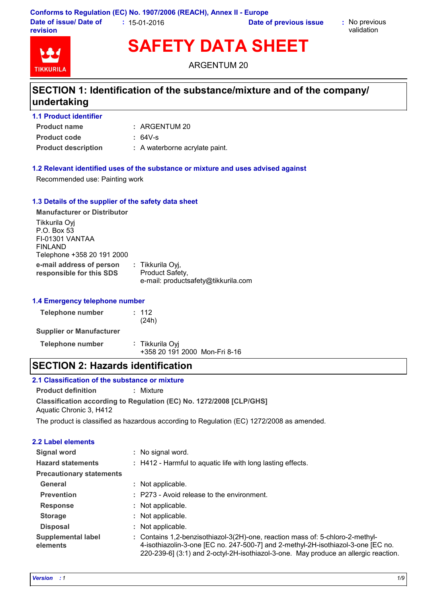**Conforms to Regulation (EC) No. 1907/2006 (REACH), Annex II - Europe Date of issue/ Date of revision :** 15-01-2016 **Date of previous issue :** No previous

validation



**SAFETY DATA SHEET**

ARGENTUM 20

# **SECTION 1: Identification of the substance/mixture and of the company/ undertaking**

| <b>1.1 Product identifier</b> |                                |
|-------------------------------|--------------------------------|
| <b>Product name</b>           | $:$ ARGENTUM 20                |
| <b>Product code</b>           | $: 64V-s$                      |
| <b>Product description</b>    | : A waterborne acrylate paint. |

#### **1.2 Relevant identified uses of the substance or mixture and uses advised against**

Recommended use: Painting work

#### **1.3 Details of the supplier of the safety data sheet**

| <b>Manufacturer or Distributor</b>                                                       |                                                                            |
|------------------------------------------------------------------------------------------|----------------------------------------------------------------------------|
| Tikkurila Oyj<br>P.O. Box 53<br>FI-01301 VANTAA<br>FINLAND<br>Telephone +358 20 191 2000 |                                                                            |
| e-mail address of person<br>responsible for this SDS                                     | : Tikkurila Oyj,<br>Product Safety,<br>e-mail: productsafety@tikkurila.com |

#### **1.4 Emergency telephone number**

| <b>Telephone number</b>         | : 112<br>(24h)                                   |
|---------------------------------|--------------------------------------------------|
| <b>Supplier or Manufacturer</b> |                                                  |
| <b>Telephone number</b>         | : Tikkurila Oyi<br>+358 20 191 2000 Mon-Fri 8-16 |

### **SECTION 2: Hazards identification**

### **Classification according to Regulation (EC) No. 1272/2008 [CLP/GHS] 2.1 Classification of the substance or mixture Product definition :** Mixture Aquatic Chronic 3, H412

The product is classified as hazardous according to Regulation (EC) 1272/2008 as amended.

#### **2.2 Label elements**

| <b>Signal word</b>                    | : No signal word.                                                                                                                                                                                                                                        |  |
|---------------------------------------|----------------------------------------------------------------------------------------------------------------------------------------------------------------------------------------------------------------------------------------------------------|--|
| <b>Hazard statements</b>              | : H412 - Harmful to aquatic life with long lasting effects.                                                                                                                                                                                              |  |
| <b>Precautionary statements</b>       |                                                                                                                                                                                                                                                          |  |
| General                               | : Not applicable.                                                                                                                                                                                                                                        |  |
| <b>Prevention</b>                     | : P273 - Avoid release to the environment.                                                                                                                                                                                                               |  |
| <b>Response</b>                       | : Not applicable.                                                                                                                                                                                                                                        |  |
| <b>Storage</b>                        | : Not applicable.                                                                                                                                                                                                                                        |  |
| <b>Disposal</b>                       | : Not applicable.                                                                                                                                                                                                                                        |  |
| <b>Supplemental label</b><br>elements | : Contains 1,2-benzisothiazol-3(2H)-one, reaction mass of: 5-chloro-2-methyl-<br>4-isothiazolin-3-one [EC no. 247-500-7] and 2-methyl-2H-isothiazol-3-one [EC no.<br>220-239-6] (3:1) and 2-octyl-2H-isothiazol-3-one. May produce an allergic reaction. |  |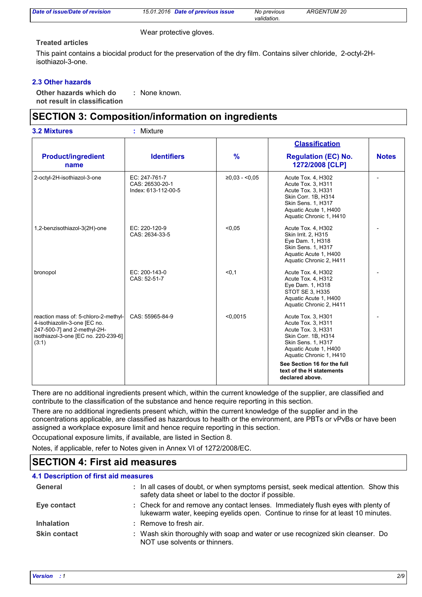| Date of issue/Date of revision | 15.01.2016<br>Date of previous issue | No previous     | <b>ARGENTUM 20</b> |  |
|--------------------------------|--------------------------------------|-----------------|--------------------|--|
|                                |                                      | <br>validation. |                    |  |

Wear protective gloves.

#### **Treated articles**

This paint contains a biocidal product for the preservation of the dry film. Contains silver chloride, 2-octyl-2Hisothiazol-3-one.

#### **2.3 Other hazards**

**Other hazards which do : not result in classification** : None known.

### **SECTION 3: Composition/information on ingredients**

#### 2-octyl-2H-isothiazol-3-one EC: 247-761-7 CAS: 26530-20-1 Index: 613-112-00-5 ≥0,03 - <0,05 Acute Tox. 4, H302 Acute Tox. 3, H311 Acute Tox. 3, H331 Skin Corr. 1B, H314 Skin Sens. 1, H317 Aquatic Acute 1, H400 Aquatic Chronic 1, H410 1,2-benzisothiazol-3(2H)-one EC: 220-120-9 CAS: 2634-33-5 <0,05 Acute Tox. 4, H302 Skin Irrit. 2, H315 Eye Dam. 1, H318 Skin Sens. 1, H317 Aquatic Acute 1, H400 Aquatic Chronic 2, H411 bronopol EC: 200-143-0 CAS: 52-51-7 <0,1 Acute Tox. 4, H302 Acute Tox. 4, H312 Eye Dam. 1, H318 STOT SE 3, H335 Aquatic Acute 1, H400 Aquatic Chronic 2, H411 reaction mass of: 5-chloro-2-methyl-4-isothiazolin-3-one [EC no. 247-500-7] and 2-methyl-2Hisothiazol-3-one [EC no. 220-239-6] (3:1) CAS: 55965-84-9 <0,0015 Acute Tox. 3, H301 Acute Tox. 3, H311 Acute Tox. 3, H331 Skin Corr. 1B, H314 Skin Sens. 1, H317 Aquatic Acute 1, H400 Aquatic Chronic 1, H410 Product/ingredient | Identifiers **name % Regulation (EC) No. 1272/2008 [CLP] Classification See Section 16 for the full text of the H statements declared above. 3.2 Mixtures :** Mixture

There are no additional ingredients present which, within the current knowledge of the supplier, are classified and contribute to the classification of the substance and hence require reporting in this section.

There are no additional ingredients present which, within the current knowledge of the supplier and in the concentrations applicable, are classified as hazardous to health or the environment, are PBTs or vPvBs or have been assigned a workplace exposure limit and hence require reporting in this section.

Occupational exposure limits, if available, are listed in Section 8.

Notes, if applicable, refer to Notes given in Annex VI of 1272/2008/EC.

### **SECTION 4: First aid measures**

| <b>4.1 Description of first aid measures</b> |                                                                                                                                                                      |
|----------------------------------------------|----------------------------------------------------------------------------------------------------------------------------------------------------------------------|
| General                                      | : In all cases of doubt, or when symptoms persist, seek medical attention. Show this<br>safety data sheet or label to the doctor if possible.                        |
| Eye contact                                  | : Check for and remove any contact lenses. Immediately flush eyes with plenty of<br>lukewarm water, keeping eyelids open. Continue to rinse for at least 10 minutes. |
| <b>Inhalation</b>                            | : Remove to fresh air.                                                                                                                                               |
| <b>Skin contact</b>                          | : Wash skin thoroughly with soap and water or use recognized skin cleanser. Do<br>NOT use solvents or thinners.                                                      |

-

**Notes**

-

-

-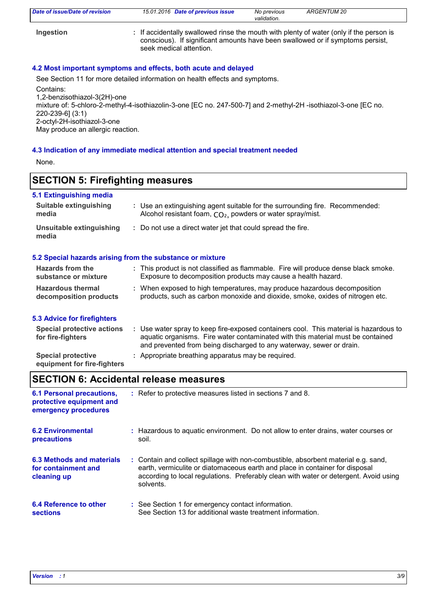| Date of issue/Date of revision | 15.01.2016 Date of previous issue                                                                                                                                                                    | No previous<br>validation. | ARGENTUM 20 |
|--------------------------------|------------------------------------------------------------------------------------------------------------------------------------------------------------------------------------------------------|----------------------------|-------------|
| Ingestion                      | : If accidentally swallowed rinse the mouth with plenty of water (only if the person is<br>conscious). If significant amounts have been swallowed or if symptoms persist,<br>seek medical attention. |                            |             |

### **4.2 Most important symptoms and effects, both acute and delayed**

See Section 11 for more detailed information on health effects and symptoms. Contains:

1,2-benzisothiazol-3(2H)-one

mixture of: 5-chloro-2-methyl-4-isothiazolin-3-one [EC no. 247-500-7] and 2-methyl-2H -isothiazol-3-one [EC no. 220-239-6] (3:1) 2-octyl-2H-isothiazol-3-one

May produce an allergic reaction.

#### **4.3 Indication of any immediate medical attention and special treatment needed**

None.

### **SECTION 5: Firefighting measures**

### **5.1 Extinguishing media**

| <b>Suitable extinguishing</b><br>media                                                           | : Use an extinguishing agent suitable for the surrounding fire. Recommended:<br>Alcohol resistant foam, $CO2$ , powders or water spray/mist.                                                                                                     |
|--------------------------------------------------------------------------------------------------|--------------------------------------------------------------------------------------------------------------------------------------------------------------------------------------------------------------------------------------------------|
| Unsuitable extinguishing<br>: Do not use a direct water jet that could spread the fire.<br>media |                                                                                                                                                                                                                                                  |
|                                                                                                  | 5.2 Special hazards arising from the substance or mixture                                                                                                                                                                                        |
| Hazards from the<br>substance or mixture                                                         | : This product is not classified as flammable. Fire will produce dense black smoke.<br>Exposure to decomposition products may cause a health hazard.                                                                                             |
| <b>Hazardous thermal</b><br>decomposition products                                               | : When exposed to high temperatures, may produce hazardous decomposition<br>products, such as carbon monoxide and dioxide, smoke, oxides of nitrogen etc.                                                                                        |
| 5.3 Advice for firefighters                                                                      |                                                                                                                                                                                                                                                  |
| <b>Special protective actions</b><br>for fire-fighters                                           | : Use water spray to keep fire-exposed containers cool. This material is hazardous to<br>aquatic organisms. Fire water contaminated with this material must be contained<br>and prevented from being discharged to any waterway, sewer or drain. |

**Special protective : Appropriate breathing apparatus may be required.** 

**equipment for fire-fighters**

### **SECTION 6: Accidental release measures**

| <b>6.1 Personal precautions,</b><br>protective equipment and<br>emergency procedures | : Refer to protective measures listed in sections 7 and 8.                                                                                                                                                                                                               |
|--------------------------------------------------------------------------------------|--------------------------------------------------------------------------------------------------------------------------------------------------------------------------------------------------------------------------------------------------------------------------|
| <b>6.2 Environmental</b>                                                             | : Hazardous to aguatic environment. Do not allow to enter drains, water courses or                                                                                                                                                                                       |
| precautions                                                                          | soil.                                                                                                                                                                                                                                                                    |
| <b>6.3 Methods and materials</b><br>for containment and<br>cleaning up               | : Contain and collect spillage with non-combustible, absorbent material e.g. sand,<br>earth, vermiculite or diatomaceous earth and place in container for disposal<br>according to local regulations. Preferably clean with water or detergent. Avoid using<br>solvents. |
| 6.4 Reference to other                                                               | : See Section 1 for emergency contact information.                                                                                                                                                                                                                       |
| <b>sections</b>                                                                      | See Section 13 for additional waste treatment information.                                                                                                                                                                                                               |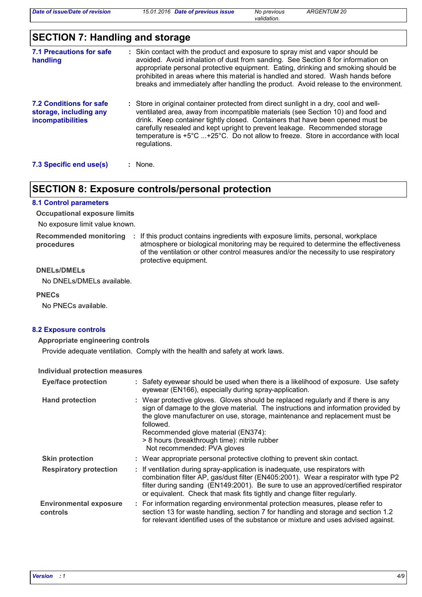*validation.*

# **SECTION 7: Handling and storage**

| 7.1 Precautions for safe<br>handling                                          | : Skin contact with the product and exposure to spray mist and vapor should be<br>avoided. Avoid inhalation of dust from sanding. See Section 8 for information on<br>appropriate personal protective equipment. Eating, drinking and smoking should be<br>prohibited in areas where this material is handled and stored. Wash hands before<br>breaks and immediately after handling the product. Avoid release to the environment.            |
|-------------------------------------------------------------------------------|------------------------------------------------------------------------------------------------------------------------------------------------------------------------------------------------------------------------------------------------------------------------------------------------------------------------------------------------------------------------------------------------------------------------------------------------|
| 7.2 Conditions for safe<br>storage, including any<br><b>incompatibilities</b> | : Store in original container protected from direct sunlight in a dry, cool and well-<br>ventilated area, away from incompatible materials (see Section 10) and food and<br>drink. Keep container tightly closed. Containers that have been opened must be<br>carefully resealed and kept upright to prevent leakage. Recommended storage<br>temperature is +5°C +25°C. Do not allow to freeze. Store in accordance with local<br>regulations. |
| 7.3 Specific end use(s)                                                       | $:$ None.                                                                                                                                                                                                                                                                                                                                                                                                                                      |

### **SECTION 8: Exposure controls/personal protection**

#### **8.1 Control parameters**

**Occupational exposure limits**

No exposure limit value known.

**procedures**

Recommended monitoring : If this product contains ingredients with exposure limits, personal, workplace atmosphere or biological monitoring may be required to determine the effectiveness of the ventilation or other control measures and/or the necessity to use respiratory protective equipment.

#### **DNELs/DMELs**

No DNELs/DMELs available.

#### **PNECs**

No PNECs available.

#### **8.2 Exposure controls**

**Appropriate engineering controls**

Provide adequate ventilation. Comply with the health and safety at work laws.

#### **Individual protection measures**

| <b>Eye/face protection</b>                | : Safety eyewear should be used when there is a likelihood of exposure. Use safety<br>eyewear (EN166), especially during spray-application.                                                                                                                                                                                                                                                |  |
|-------------------------------------------|--------------------------------------------------------------------------------------------------------------------------------------------------------------------------------------------------------------------------------------------------------------------------------------------------------------------------------------------------------------------------------------------|--|
| <b>Hand protection</b>                    | : Wear protective gloves. Gloves should be replaced regularly and if there is any<br>sign of damage to the glove material. The instructions and information provided by<br>the glove manufacturer on use, storage, maintenance and replacement must be<br>followed.<br>Recommended glove material (EN374):<br>> 8 hours (breakthrough time): nitrile rubber<br>Not recommended: PVA gloves |  |
| <b>Skin protection</b>                    | : Wear appropriate personal protective clothing to prevent skin contact.                                                                                                                                                                                                                                                                                                                   |  |
| <b>Respiratory protection</b>             | : If ventilation during spray-application is inadequate, use respirators with<br>combination filter AP, gas/dust filter (EN405:2001). Wear a respirator with type P2<br>filter during sanding (EN149:2001). Be sure to use an approved/certified respirator<br>or equivalent. Check that mask fits tightly and change filter regularly.                                                    |  |
| <b>Environmental exposure</b><br>controls | : For information regarding environmental protection measures, please refer to<br>section 13 for waste handling, section 7 for handling and storage and section 1.2<br>for relevant identified uses of the substance or mixture and uses advised against.                                                                                                                                  |  |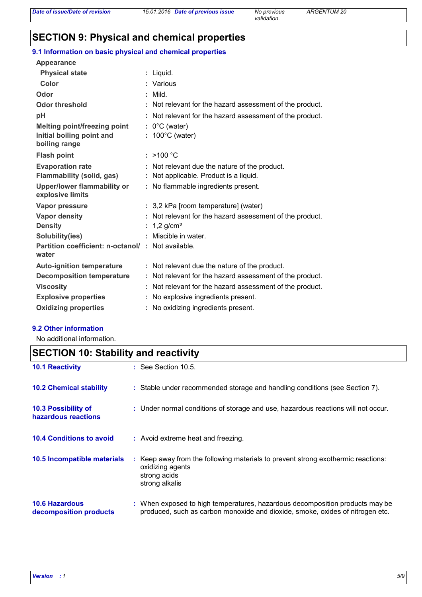# **SECTION 9: Physical and chemical properties**

### **9.1 Information on basic physical and chemical properties**

| Appearance                                                 |                                                          |
|------------------------------------------------------------|----------------------------------------------------------|
| <b>Physical state</b>                                      | Liquid.                                                  |
| Color                                                      | Various                                                  |
| Odor                                                       | Mild.                                                    |
| <b>Odor threshold</b>                                      | Not relevant for the hazard assessment of the product.   |
| pH                                                         | Not relevant for the hazard assessment of the product.   |
| <b>Melting point/freezing point</b>                        | $: 0^{\circ}$ C (water)                                  |
| Initial boiling point and<br>boiling range                 | $: 100^{\circ}$ C (water)                                |
| <b>Flash point</b>                                         | : $>100 °C$                                              |
| <b>Evaporation rate</b>                                    | Not relevant due the nature of the product.              |
| <b>Flammability (solid, gas)</b>                           | Not applicable. Product is a liquid.                     |
| <b>Upper/lower flammability or</b><br>explosive limits     | : No flammable ingredients present.                      |
| Vapor pressure                                             | : 3,2 kPa [room temperature] (water)                     |
| Vapor density                                              | Not relevant for the hazard assessment of the product.   |
| <b>Density</b>                                             | 1,2 $g/cm3$                                              |
| Solubility(ies)                                            | Miscible in water.                                       |
| Partition coefficient: n-octanol/: Not available.<br>water |                                                          |
| <b>Auto-ignition temperature</b>                           | : Not relevant due the nature of the product.            |
| <b>Decomposition temperature</b>                           | : Not relevant for the hazard assessment of the product. |
| <b>Viscosity</b>                                           | Not relevant for the hazard assessment of the product.   |
| <b>Explosive properties</b>                                | No explosive ingredients present.                        |
| <b>Oxidizing properties</b>                                | No oxidizing ingredients present.                        |

#### **9.2 Other information**

No additional information.

# **SECTION 10: Stability and reactivity**

| <b>10.1 Reactivity</b>                            | $\therefore$ See Section 10.5.                                                                                                                                |
|---------------------------------------------------|---------------------------------------------------------------------------------------------------------------------------------------------------------------|
| <b>10.2 Chemical stability</b>                    | : Stable under recommended storage and handling conditions (see Section 7).                                                                                   |
| <b>10.3 Possibility of</b><br>hazardous reactions | : Under normal conditions of storage and use, hazardous reactions will not occur.                                                                             |
| <b>10.4 Conditions to avoid</b>                   | : Avoid extreme heat and freezing.                                                                                                                            |
| 10.5 Incompatible materials                       | : Keep away from the following materials to prevent strong exothermic reactions:<br>oxidizing agents<br>strong acids<br>strong alkalis                        |
| <b>10.6 Hazardous</b><br>decomposition products   | : When exposed to high temperatures, hazardous decomposition products may be<br>produced, such as carbon monoxide and dioxide, smoke, oxides of nitrogen etc. |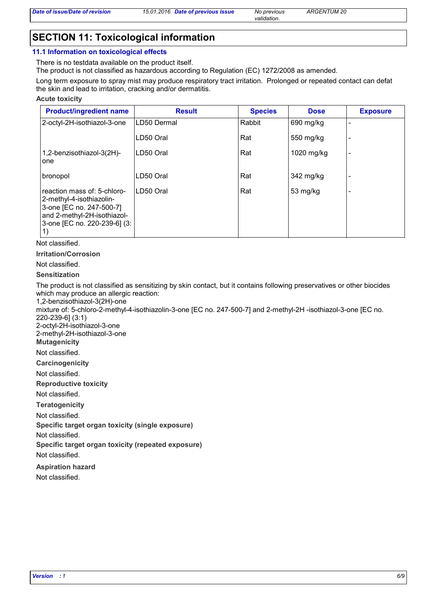*validation.*

## **SECTION 11: Toxicological information**

#### **11.1 Information on toxicological effects**

There is no testdata available on the product itself.

The product is not classified as hazardous according to Regulation (EC) 1272/2008 as amended.

Long term exposure to spray mist may produce respiratory tract irritation. Prolonged or repeated contact can defat the skin and lead to irritation, cracking and/or dermatitis.

**Acute toxicity**

| <b>Product/ingredient name</b>                                                                                                                           | <b>Result</b> | <b>Species</b> | <b>Dose</b> | <b>Exposure</b> |
|----------------------------------------------------------------------------------------------------------------------------------------------------------|---------------|----------------|-------------|-----------------|
| 2-octyl-2H-isothiazol-3-one                                                                                                                              | LD50 Dermal   | Rabbit         | 690 mg/kg   |                 |
|                                                                                                                                                          | LD50 Oral     | Rat            | 550 mg/kg   |                 |
| 1,2-benzisothiazol-3(2H)-<br>one                                                                                                                         | LD50 Oral     | Rat            | 1020 mg/kg  |                 |
| bronopol                                                                                                                                                 | LD50 Oral     | Rat            | 342 mg/kg   |                 |
| reaction mass of: 5-chloro-<br>2-methyl-4-isothiazolin-<br>3-one [EC no. 247-500-7]<br>and 2-methyl-2H-isothiazol-<br>3-one [EC no. 220-239-6] (3:<br>1) | ILD50 Oral    | Rat            | 53 mg/kg    |                 |

Not classified.

**Irritation/Corrosion**

Not classified.

#### **Sensitization**

The product is not classified as sensitizing by skin contact, but it contains following preservatives or other biocides which may produce an allergic reaction:

1,2-benzisothiazol-3(2H)-one

mixture of: 5-chloro-2-methyl-4-isothiazolin-3-one [EC no. 247-500-7] and 2-methyl-2H -isothiazol-3-one [EC no. 220-239-6] (3:1)

2-octyl-2H-isothiazol-3-one

**Mutagenicity** 2-methyl-2H-isothiazol-3-one

Not classified.

**Carcinogenicity**

Not classified.

**Reproductive toxicity**

Not classified.

**Teratogenicity**

Not classified.

**Specific target organ toxicity (single exposure)**

Not classified.

**Specific target organ toxicity (repeated exposure)**

Not classified.

**Aspiration hazard**

Not classified.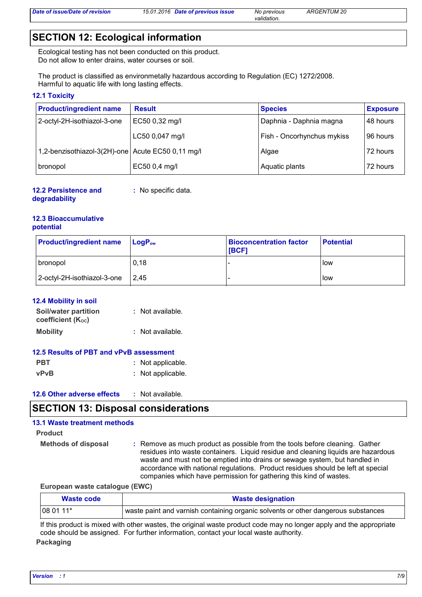*validation.*

## **SECTION 12: Ecological information**

Ecological testing has not been conducted on this product. Do not allow to enter drains, water courses or soil.

The product is classified as environmetally hazardous according to Regulation (EC) 1272/2008. Harmful to aquatic life with long lasting effects.

#### **12.1 Toxicity**

| <b>Product/ingredient name</b>                    | <b>Result</b>   | <b>Species</b>             | <b>Exposure</b> |
|---------------------------------------------------|-----------------|----------------------------|-----------------|
| 2-octyl-2H-isothiazol-3-one                       | EC50 0,32 mg/l  | Daphnia - Daphnia magna    | 48 hours        |
|                                                   | LC50 0,047 mg/l | Fish - Oncorhynchus mykiss | 96 hours        |
| 1,2-benzisothiazol-3(2H)-one Acute EC50 0,11 mg/l |                 | Algae                      | 72 hours        |
| bronopol                                          | EC50 0,4 mg/l   | Aquatic plants             | 72 hours        |

**12.2 Persistence and degradability :** No specific data.

#### **12.3 Bioaccumulative potential**

| <b>Product/ingredient name</b> | $LogP_{ow}$ | <b>Bioconcentration factor</b><br><b>IBCF1</b> | <b>Potential</b> |
|--------------------------------|-------------|------------------------------------------------|------------------|
| bronopol                       | 0,18        |                                                | l low            |
| 2-octyl-2H-isothiazol-3-one    | 12.45       |                                                | <b>I</b> low     |

#### **12.4 Mobility in soil**

| <b>Soil/water partition</b>    | : Not available. |
|--------------------------------|------------------|
| coefficient (K <sub>oc</sub> ) |                  |
| <b>Mobility</b>                | : Not available. |

| 12.5 Results of PBT and vPvB assessment |  |                   |
|-----------------------------------------|--|-------------------|
| <b>PBT</b>                              |  | : Not applicable. |
| <b>vPvB</b>                             |  | : Not applicable. |

| <b>12.6 Other adverse effects</b><br>Not available. |  |
|-----------------------------------------------------|--|
|-----------------------------------------------------|--|

### **SECTION 13: Disposal considerations**

### **13.1 Waste treatment methods**

```
Product
```

```
Methods of disposal :
```
Remove as much product as possible from the tools before cleaning. Gather residues into waste containers. Liquid residue and cleaning liquids are hazardous waste and must not be emptied into drains or sewage system, but handled in accordance with national regulations. Product residues should be left at special companies which have permission for gathering this kind of wastes.

**European waste catalogue (EWC)**

| Waste code | <b>Waste designation</b>                                                          |
|------------|-----------------------------------------------------------------------------------|
| 08 01 11*  | waste paint and varnish containing organic solvents or other dangerous substances |

If this product is mixed with other wastes, the original waste product code may no longer apply and the appropriate code should be assigned. For further information, contact your local waste authority.

**Packaging**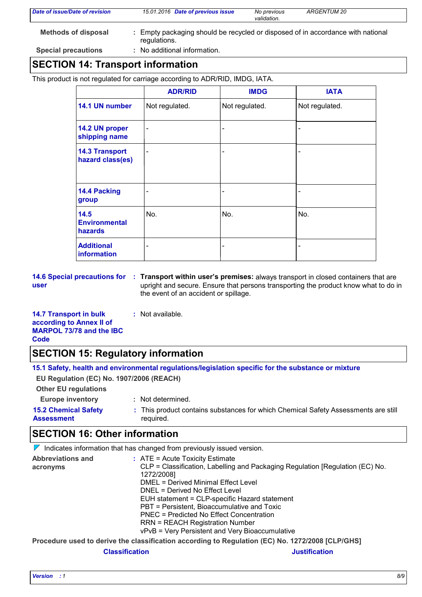| <b>Methods of disposal</b><br>Empty packaging should be recycled or disposed of in accordance with national<br>regulations. | Date of issue/Date of revision | 15.01.2016 Date of previous issue | No previous<br>validation. | ARGENTUM 20 |  |
|-----------------------------------------------------------------------------------------------------------------------------|--------------------------------|-----------------------------------|----------------------------|-------------|--|
|                                                                                                                             |                                |                                   |                            |             |  |
|                                                                                                                             | <b>Special precautions</b>     | No additional information.        |                            |             |  |

### **SECTION 14: Transport information**

This product is not regulated for carriage according to ADR/RID, IMDG, IATA.

|                                           | <b>ADR/RID</b>               | <b>IMDG</b>    | <b>IATA</b>    |
|-------------------------------------------|------------------------------|----------------|----------------|
| 14.1 UN number                            | Not regulated.               | Not regulated. | Not regulated. |
| 14.2 UN proper<br>shipping name           | ۰                            |                |                |
| <b>14.3 Transport</b><br>hazard class(es) | ۰                            |                |                |
| 14.4 Packing<br>group                     | ۰                            |                |                |
| 14.5<br><b>Environmental</b><br>hazards   | No.                          | No.            | No.            |
| <b>Additional</b><br>information          | $\qquad \qquad \blacksquare$ | -              |                |

**user**

**14.6 Special precautions for : Transport within user's premises: always transport in closed containers that are** upright and secure. Ensure that persons transporting the product know what to do in the event of an accident or spillage.

**14.7 Transport in bulk according to Annex II of MARPOL 73/78 and the IBC Code :** Not available.

# **SECTION 15: Regulatory information**

|                                                  | 15.1 Safety, health and environmental regulations/legislation specific for the substance or mixture |
|--------------------------------------------------|-----------------------------------------------------------------------------------------------------|
| EU Regulation (EC) No. 1907/2006 (REACH)         |                                                                                                     |
| <b>Other EU regulations</b>                      |                                                                                                     |
| <b>Europe inventory</b>                          | : Not determined.                                                                                   |
| <b>15.2 Chemical Safety</b><br><b>Assessment</b> | : This product contains substances for which Chemical Safety Assessments are still<br>required.     |
|                                                  |                                                                                                     |

# **SECTION 16: Other information**

 $\nabla$  Indicates information that has changed from previously issued version.

| <b>Abbreviations and</b> | $:$ ATE = Acute Toxicity Estimate                                                                |
|--------------------------|--------------------------------------------------------------------------------------------------|
| acronyms                 | CLP = Classification, Labelling and Packaging Regulation [Regulation (EC) No.                    |
|                          | 1272/2008]                                                                                       |
|                          | DMEL = Derived Minimal Effect Level                                                              |
|                          | DNEL = Derived No Effect Level                                                                   |
|                          | EUH statement = CLP-specific Hazard statement                                                    |
|                          | PBT = Persistent, Bioaccumulative and Toxic                                                      |
|                          | PNEC = Predicted No Effect Concentration                                                         |
|                          | <b>RRN = REACH Registration Number</b>                                                           |
|                          | vPvB = Very Persistent and Very Bioaccumulative                                                  |
|                          | Procedure used to derive the classification according to Regulation (EC) No. 1272/2008 [CLP/GHS] |

**Classification Justification**